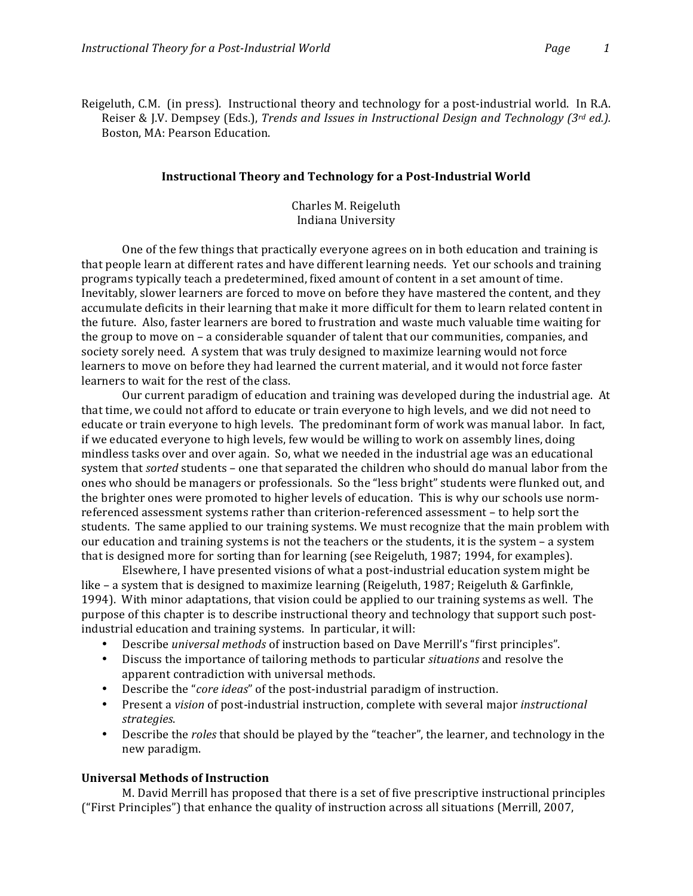Reigeluth, C.M. (in press). Instructional theory and technology for a post-industrial world. In R.A. Reiser & J.V. Dempsey (Eds.), *Trends and Issues in Instructional Design and Technology (3rd ed.).* Boston, MA: Pearson Education.

#### **Instructional Theory and Technology for a Post-Industrial World**

Charles M. Reigeluth Indiana University

One of the few things that practically everyone agrees on in both education and training is that people learn at different rates and have different learning needs. Yet our schools and training programs typically teach a predetermined, fixed amount of content in a set amount of time. Inevitably, slower learners are forced to move on before they have mastered the content, and they accumulate deficits in their learning that make it more difficult for them to learn related content in the future. Also, faster learners are bored to frustration and waste much valuable time waiting for the group to move on – a considerable squander of talent that our communities, companies, and society sorely need. A system that was truly designed to maximize learning would not force learners to move on before they had learned the current material, and it would not force faster learners to wait for the rest of the class.

Our current paradigm of education and training was developed during the industrial age. At that time, we could not afford to educate or train everyone to high levels, and we did not need to educate or train everyone to high levels. The predominant form of work was manual labor. In fact, if we educated everyone to high levels, few would be willing to work on assembly lines, doing mindless tasks over and over again. So, what we needed in the industrial age was an educational system that *sorted* students – one that separated the children who should do manual labor from the ones who should be managers or professionals. So the "less bright" students were flunked out, and the brighter ones were promoted to higher levels of education. This is why our schools use normreferenced assessment systems rather than criterion-referenced assessment – to help sort the students. The same applied to our training systems. We must recognize that the main problem with our education and training systems is not the teachers or the students, it is the system – a system that is designed more for sorting than for learning (see Reigeluth, 1987; 1994, for examples).

Elsewhere, I have presented visions of what a post-industrial education system might be like – a system that is designed to maximize learning (Reigeluth, 1987; Reigeluth & Garfinkle, 1994). With minor adaptations, that vision could be applied to our training systems as well. The purpose of this chapter is to describe instructional theory and technology that support such postindustrial education and training systems. In particular, it will:

- **Describe universal methods of instruction based on Dave Merrill's "first principles".**
- Discuss the importance of tailoring methods to particular *situations* and resolve the apparent contradiction with universal methods.
- Describe the "*core ideas*" of the post-industrial paradigm of instruction.
- Present a *vision* of post-industrial instruction, complete with several major *instructional strategies*.
- Describe the *roles* that should be played by the "teacher", the learner, and technology in the new!paradigm.

## **Universal Methods of Instruction**

M. David Merrill has proposed that there is a set of five prescriptive instructional principles ("First Principles") that enhance the quality of instruction across all situations (Merrill, 2007,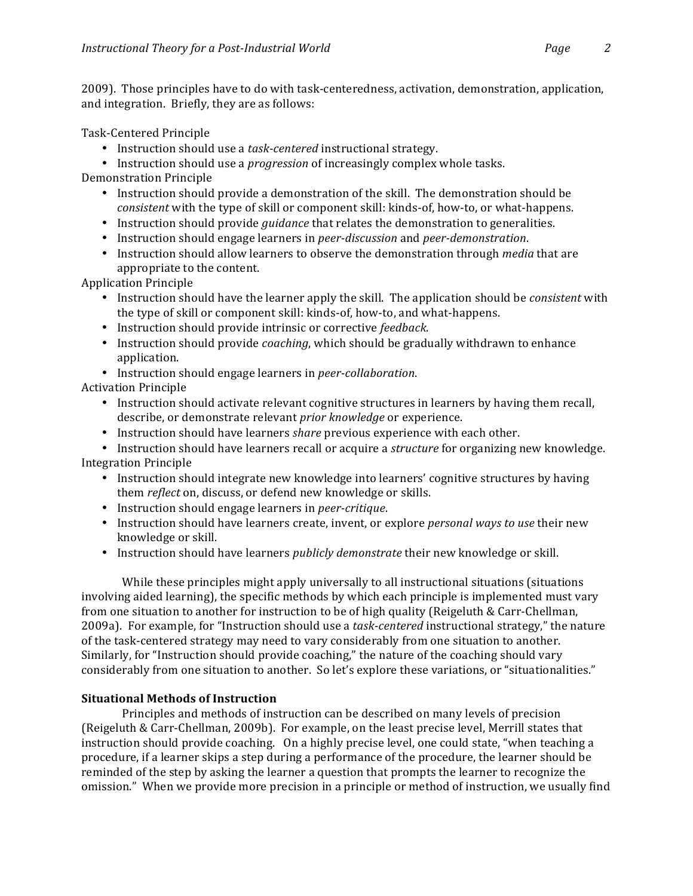2009). Those principles have to do with task-centeredness, activation, demonstration, application, and integration. Briefly, they are as follows:

Task-Centered Principle

- Instruction should use a *task-centered* instructional strategy.
- Instruction should use a *progression* of increasingly complex whole tasks.

Demonstration Principle

- Instruction should provide a demonstration of the skill. The demonstration should be *consistent* with the type of skill or component skill: kinds-of, how-to, or what-happens.
- Instruction should provide *guidance* that relates the demonstration to generalities.
- Instruction should engage learners in *peer-discussion* and *peer-demonstration*.
- Instruction should allow learners to observe the demonstration through *media* that are appropriate to the content.

Application Principle

- Instruction should have the learner apply the skill. The application should be *consistent* with the type of skill or component skill: kinds-of, how-to, and what-happens.
- Instruction should provide intrinsic or corrective *feedback*.
- Instruction should provide *coaching*, which should be gradually withdrawn to enhance application.
- Instruction should engage learners in *peer-collaboration*.

**Activation Principle** 

- Instruction should activate relevant cognitive structures in learners by having them recall, describe, or demonstrate relevant *prior knowledge* or experience.
- Instruction should have learners *share* previous experience with each other.
- Instruction should have learners recall or acquire a *structure* for organizing new knowledge.

Integration Principle

- Instruction should integrate new knowledge into learners' cognitive structures by having them *reflect* on, discuss, or defend new knowledge or skills.
- Instruction should engage learners in *peer-critique*.
- Instruction should have learners create, invent, or explore *personal ways to use* their new knowledge or skill.
- Instruction should have learners *publicly demonstrate* their new knowledge or skill.

While these principles might apply universally to all instructional situations (situations involving aided learning), the specific methods by which each principle is implemented must vary from one situation to another for instruction to be of high quality (Reigeluth & Carr-Chellman, 2009a). For example, for "Instruction should use a *task-centered* instructional strategy," the nature of the task-centered strategy may need to vary considerably from one situation to another. Similarly, for "Instruction should provide coaching," the nature of the coaching should vary considerably from one situation to another. So let's explore these variations, or "situationalities."

# **Situational Methods of Instruction**

Principles and methods of instruction can be described on many levels of precision (Reigeluth & Carr-Chellman, 2009b). For example, on the least precise level, Merrill states that instruction should provide coaching. On a highly precise level, one could state, "when teaching a procedure, if a learner skips a step during a performance of the procedure, the learner should be reminded of the step by asking the learner a question that prompts the learner to recognize the omission." When we provide more precision in a principle or method of instruction, we usually find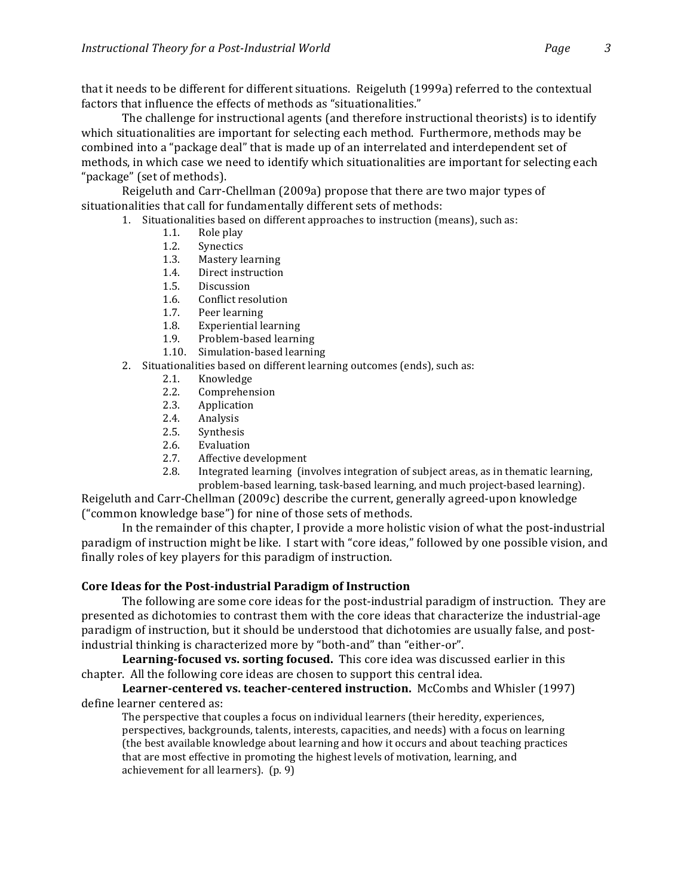that it needs to be different for different situations. Reigeluth (1999a) referred to the contextual factors that influence the effects of methods as "situationalities."

The challenge for instructional agents (and therefore instructional theorists) is to identify which situationalities are important for selecting each method. Furthermore, methods may be combined into a "package deal" that is made up of an interrelated and interdependent set of methods, in which case we need to identify which situationalities are important for selecting each "package" (set of methods).

Reigeluth and Carr-Chellman (2009a) propose that there are two major types of situationalities that call for fundamentally different sets of methods:

- 1. Situationalities based on different approaches to instruction (means), such as:
	- 1.1. Role play
	- 1.2. Synectics
	- 1.3. Mastery learning
	- 1.4. Direct instruction
	- 1.5. Discussion
	- 1.6. Conflict resolution
	- 1.7. Peer learning
	- 1.8. Experiential learning
	- 1.9. Problem-based learning
	- 1.10. Simulation-based learning
- 2. Situationalities based on different learning outcomes (ends), such as:
	- 2.1. Knowledge
	- 2.2. Comprehension
	- 2.3. Application
	- 2.4. Analysis
	- 2.5. Synthesis
	- 2.6. Evaluation
	- 2.7. Affective development
	- 2.8. Integrated learning (involves integration of subject areas, as in thematic learning, problem-based learning, task-based learning, and much project-based learning).

Reigeluth and Carr-Chellman (2009c) describe the current, generally agreed-upon knowledge ("common knowledge base") for nine of those sets of methods.

In the remainder of this chapter, I provide a more holistic vision of what the post-industrial paradigm of instruction might be like. I start with "core ideas," followed by one possible vision, and finally roles of key players for this paradigm of instruction.

# **Core Ideas for the Post-industrial Paradigm of Instruction**

The following are some core ideas for the post-industrial paradigm of instruction. They are presented as dichotomies to contrast them with the core ideas that characterize the industrial-age paradigm of instruction, but it should be understood that dichotomies are usually false, and postindustrial thinking is characterized more by "both-and" than "either-or".

**Learning-focused vs. sorting focused.** This core idea was discussed earlier in this chapter. All the following core ideas are chosen to support this central idea.

**Learner-centered vs. teacher-centered instruction.** McCombs and Whisler (1997) define learner centered as:

The perspective that couples a focus on individual learners (their heredity, experiences, perspectives, backgrounds, talents, interests, capacities, and needs) with a focus on learning (the best available knowledge about learning and how it occurs and about teaching practices that are most effective in promoting the highest levels of motivation, learning, and achievement for all learners). (p. 9)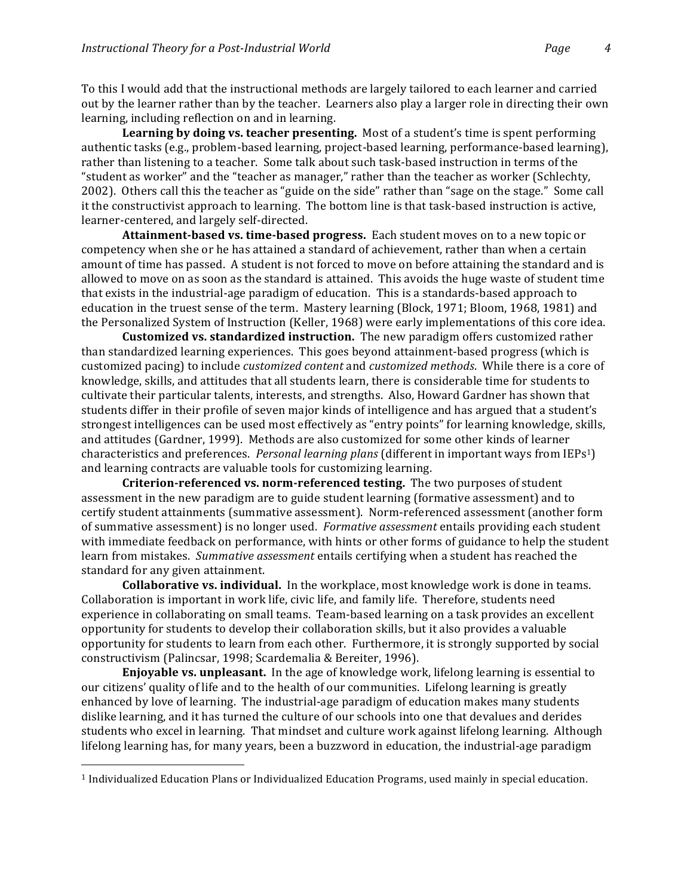To this I would add that the instructional methods are largely tailored to each learner and carried out by the learner rather than by the teacher. Learners also play a larger role in directing their own learning, including reflection on and in learning.

**Learning by doing vs. teacher presenting.** Most of a student's time is spent performing authentic tasks (e.g., problem-based learning, project-based learning, performance-based learning), rather than listening to a teacher. Some talk about such task-based instruction in terms of the " student as worker" and the "teacher as manager," rather than the teacher as worker (Schlechty, 2002). Others call this the teacher as "guide on the side" rather than "sage on the stage." Some call it the constructivist approach to learning. The bottom line is that task-based instruction is active, learner-centered, and largely self-directed.

**Attainment-based vs. time-based progress.** Each student moves on to a new topic or competency when she or he has attained a standard of achievement, rather than when a certain amount of time has passed. A student is not forced to move on before attaining the standard and is allowed to move on as soon as the standard is attained. This avoids the huge waste of student time that exists in the industrial-age paradigm of education. This is a standards-based approach to education in the truest sense of the term. Mastery learning (Block, 1971; Bloom, 1968, 1981) and the Personalized System of Instruction (Keller, 1968) were early implementations of this core idea.

**Customized vs. standardized instruction.** The new paradigm offers customized rather than standardized learning experiences. This goes beyond attainment-based progress (which is customized pacing) to include *customized content* and *customized methods*. While there is a core of knowledge, skills, and attitudes that all students learn, there is considerable time for students to cultivate their particular talents, interests, and strengths. Also, Howard Gardner has shown that students differ in their profile of seven major kinds of intelligence and has argued that a student's strongest intelligences can be used most effectively as "entry points" for learning knowledge, skills, and attitudes (Gardner, 1999). Methods are also customized for some other kinds of learner characteristics and preferences. *Personal learning plans* (different in important ways from IEPs<sup>1</sup>) and learning contracts are valuable tools for customizing learning.

**Criterion-referenced vs. norm-referenced testing.** The two purposes of student assessment in the new paradigm are to guide student learning (formative assessment) and to certify student attainments (summative assessment). Norm-referenced assessment (another form of summative assessment) is no longer used. *Formative assessment* entails providing each student with immediate feedback on performance, with hints or other forms of guidance to help the student learn from mistakes. Summative assessment entails certifying when a student has reached the standard for any given attainment.

**Collaborative vs. individual.** In the workplace, most knowledge work is done in teams. Collaboration is important in work life, civic life, and family life. Therefore, students need experience in collaborating on small teams. Team-based learning on a task provides an excellent opportunity for students to develop their collaboration skills, but it also provides a valuable opportunity for students to learn from each other. Furthermore, it is strongly supported by social constructivism (Palincsar, 1998; Scardemalia & Bereiter, 1996).

**Enjoyable vs. unpleasant.** In the age of knowledge work, lifelong learning is essential to our citizens' quality of life and to the health of our communities. Lifelong learning is greatly enhanced by love of learning. The industrial-age paradigm of education makes many students dislike learning, and it has turned the culture of our schools into one that devalues and derides students who excel in learning. That mindset and culture work against lifelong learning. Although lifelong learning has, for many years, been a buzzword in education, the industrial-age paradigm

!!!!!!!!!!!!!!!!!!!!!!!!!!!!!!!!!!!!!!!!!!!!!!!!!!!!!!!

<sup>&</sup>lt;sup>1</sup> Individualized Education Plans or Individualized Education Programs, used mainly in special education.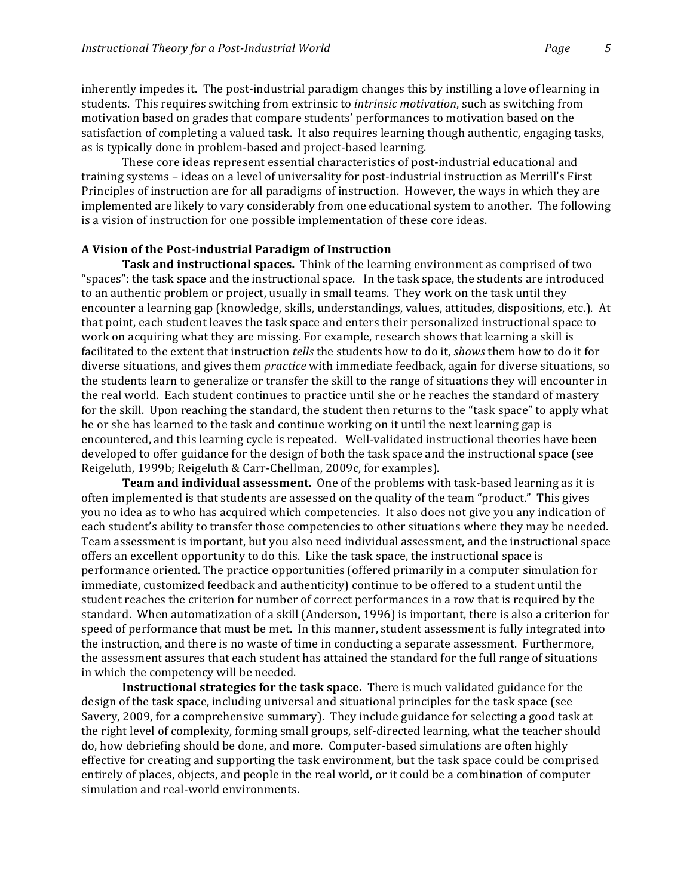inherently impedes it. The post-industrial paradigm changes this by instilling a love of learning in students. This requires switching from extrinsic to *intrinsic motivation*, such as switching from motivation based on grades that compare students' performances to motivation based on the satisfaction of completing a valued task. It also requires learning though authentic, engaging tasks, as is typically done in problem-based and project-based learning.

These core ideas represent essential characteristics of post-industrial educational and training systems - ideas on a level of universality for post-industrial instruction as Merrill's First Principles of instruction are for all paradigms of instruction. However, the ways in which they are implemented are likely to vary considerably from one educational system to another. The following is a vision of instruction for one possible implementation of these core ideas.

### A Vision of the Post-industrial Paradigm of Instruction

**Task and instructional spaces.** Think of the learning environment as comprised of two "spaces": the task space and the instructional space. In the task space, the students are introduced to an authentic problem or project, usually in small teams. They work on the task until they encounter a learning gap (knowledge, skills, understandings, values, attitudes, dispositions, etc.). At that point, each student leaves the task space and enters their personalized instructional space to work on acquiring what they are missing. For example, research shows that learning a skill is facilitated to the extent that instruction *tells* the students how to do it, *shows* them how to do it for diverse situations, and gives them *practice* with immediate feedback, again for diverse situations, so the students learn to generalize or transfer the skill to the range of situations they will encounter in the real world. Each student continues to practice until she or he reaches the standard of mastery for the skill. Upon reaching the standard, the student then returns to the "task space" to apply what he or she has learned to the task and continue working on it until the next learning gap is encountered, and this learning cycle is repeated. Well-validated instructional theories have been developed to offer guidance for the design of both the task space and the instructional space (see Reigeluth, 1999b; Reigeluth & Carr-Chellman, 2009c, for examples).

**Team and individual assessment.** One of the problems with task-based learning as it is often implemented is that students are assessed on the quality of the team "product." This gives you no idea as to who has acquired which competencies. It also does not give you any indication of each student's ability to transfer those competencies to other situations where they may be needed. Team assessment is important, but you also need individual assessment, and the instructional space offers an excellent opportunity to do this. Like the task space, the instructional space is performance oriented. The practice opportunities (offered primarily in a computer simulation for immediate, customized feedback and authenticity) continue to be offered to a student until the student reaches the criterion for number of correct performances in a row that is required by the standard. When automatization of a skill (Anderson, 1996) is important, there is also a criterion for speed of performance that must be met. In this manner, student assessment is fully integrated into the instruction, and there is no waste of time in conducting a separate assessment. Furthermore, the assessment assures that each student has attained the standard for the full range of situations in which the competency will be needed.

**Instructional strategies for the task space.** There is much validated guidance for the design of the task space, including universal and situational principles for the task space (see Savery, 2009, for a comprehensive summary). They include guidance for selecting a good task at the right level of complexity, forming small groups, self-directed learning, what the teacher should do, how debriefing should be done, and more. Computer-based simulations are often highly effective for creating and supporting the task environment, but the task space could be comprised entirely of places, objects, and people in the real world, or it could be a combination of computer simulation and real-world environments.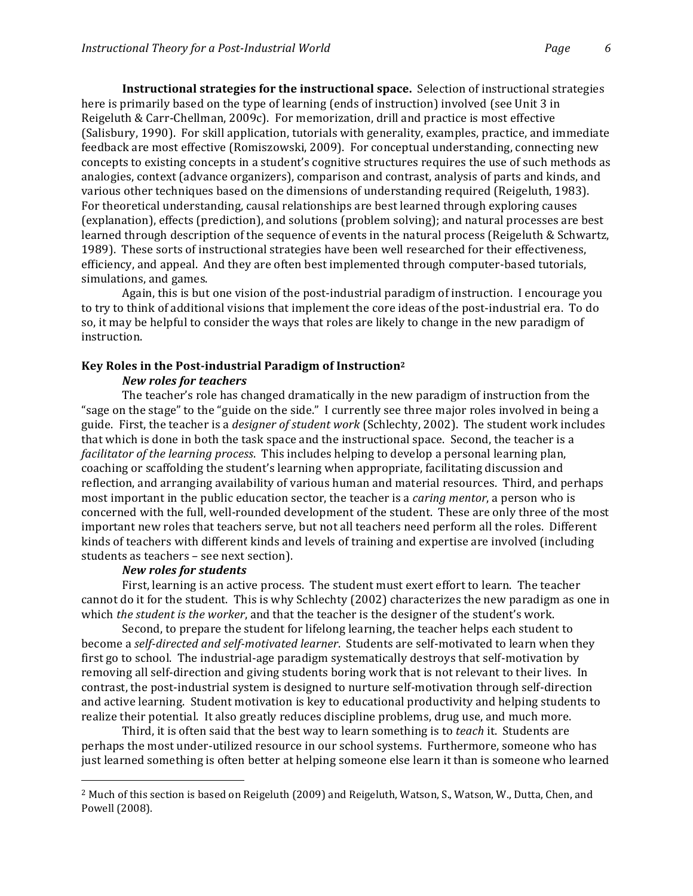**Instructional strategies for the instructional space.** Selection of instructional strategies here is primarily based on the type of learning (ends of instruction) involved (see Unit 3 in Reigeluth & Carr-Chellman, 2009c). For memorization, drill and practice is most effective (Salisbury, 1990). For skill application, tutorials with generality, examples, practice, and immediate feedback are most effective (Romiszowski, 2009). For conceptual understanding, connecting new concepts to existing concepts in a student's cognitive structures requires the use of such methods as analogies, context (advance organizers), comparison and contrast, analysis of parts and kinds, and various other techniques based on the dimensions of understanding required (Reigeluth, 1983). For theoretical understanding, causal relationships are best learned through exploring causes (explanation), effects (prediction), and solutions (problem solving); and natural processes are best learned through description of the sequence of events in the natural process (Reigeluth & Schwartz, 1989). These sorts of instructional strategies have been well researched for their effectiveness, efficiency, and appeal. And they are often best implemented through computer-based tutorials, simulations, and games.

Again, this is but one vision of the post-industrial paradigm of instruction. I encourage you to try to think of additional visions that implement the core ideas of the post-industrial era. To do so, it may be helpful to consider the ways that roles are likely to change in the new paradigm of instruction.

#### Key Roles in the Post-industrial Paradigm of Instruction<sup>2</sup>

## *New roles for teachers*

The teacher's role has changed dramatically in the new paradigm of instruction from the "sage on the stage" to the "guide on the side." I currently see three major roles involved in being a guide. First, the teacher is a *designer of student work* (Schlechty, 2002). The student work includes that which is done in both the task space and the instructional space. Second, the teacher is a *facilitator of the learning process.* This includes helping to develop a personal learning plan, coaching or scaffolding the student's learning when appropriate, facilitating discussion and reflection, and arranging availability of various human and material resources. Third, and perhaps most important in the public education sector, the teacher is a *caring mentor*, a person who is concerned with the full, well-rounded development of the student. These are only three of the most important new roles that teachers serve, but not all teachers need perform all the roles. Different kinds of teachers with different kinds and levels of training and expertise are involved (including students as teachers – see next section).

#### *New\$roles\$for\$students*

!!!!!!!!!!!!!!!!!!!!!!!!!!!!!!!!!!!!!!!!!!!!!!!!!!!!!!!

First, learning is an active process. The student must exert effort to learn. The teacher cannot do it for the student. This is why Schlechty (2002) characterizes the new paradigm as one in which *the student is the worker*, and that the teacher is the designer of the student's work.

Second, to prepare the student for lifelong learning, the teacher helps each student to become a *self-directed and self-motivated learner*. Students are self-motivated to learn when they first go to school. The industrial-age paradigm systematically destroys that self-motivation by removing all self-direction and giving students boring work that is not relevant to their lives. In contrast, the post-industrial system is designed to nurture self-motivation through self-direction and active learning. Student motivation is key to educational productivity and helping students to realize their potential. It also greatly reduces discipline problems, drug use, and much more.

Third, it is often said that the best way to learn something is to *teach* it. Students are perhaps the most under-utilized resource in our school systems. Furthermore, someone who has just learned something is often better at helping someone else learn it than is someone who learned

<sup>&</sup>lt;sup>2</sup> Much of this section is based on Reigeluth (2009) and Reigeluth, Watson, S., Watson, W., Dutta, Chen, and Powell (2008).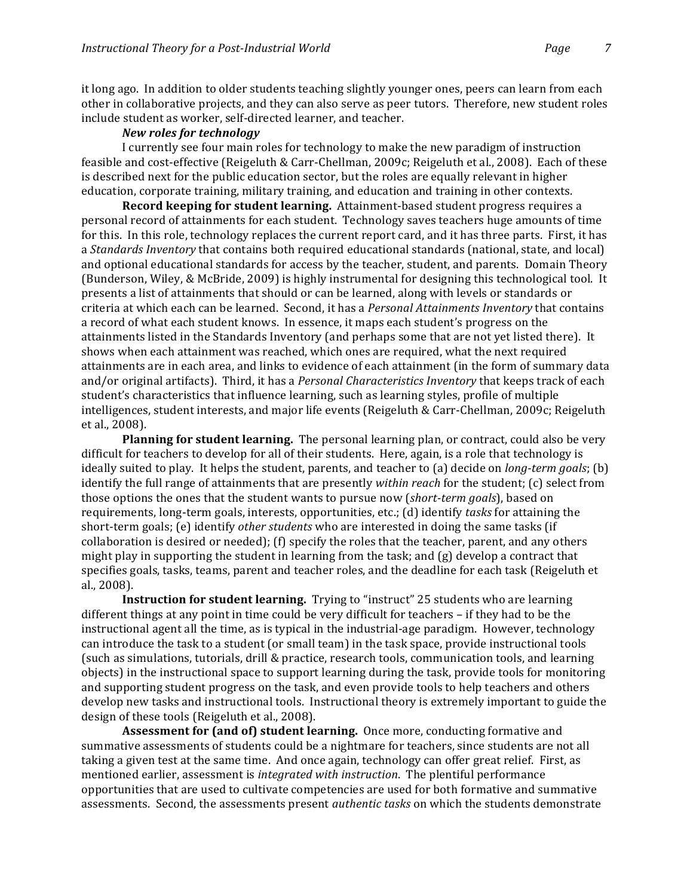it long ago. In addition to older students teaching slightly younger ones, peers can learn from each other in collaborative projects, and they can also serve as peer tutors. Therefore, new student roles include student as worker, self-directed learner, and teacher.

### *New\$roles\$for\$technology*

I currently see four main roles for technology to make the new paradigm of instruction feasible and cost-effective (Reigeluth & Carr-Chellman, 2009c; Reigeluth et al., 2008). Each of these is described next for the public education sector, but the roles are equally relevant in higher education, corporate training, military training, and education and training in other contexts.

**Record keeping for student learning.** Attainment-based student progress requires a personal record of attainments for each student. Technology saves teachers huge amounts of time for this. In this role, technology replaces the current report card, and it has three parts. First, it has a *Standards Inventory* that contains both required educational standards (national, state, and local) and optional educational standards for access by the teacher, student, and parents. Domain Theory (Bunderson, Wiley, & McBride, 2009) is highly instrumental for designing this technological tool. It presents a list of attainments that should or can be learned, along with levels or standards or criteria at which each can be learned. Second, it has a *Personal Attainments Inventory* that contains a record of what each student knows. In essence, it maps each student's progress on the attainments listed in the Standards Inventory (and perhaps some that are not yet listed there). It shows when each attainment was reached, which ones are required, what the next required attainments are in each area, and links to evidence of each attainment (in the form of summary data and/or original artifacts). Third, it has a *Personal Characteristics Inventory* that keeps track of each student's characteristics that influence learning, such as learning styles, profile of multiple intelligences, student interests, and major life events (Reigeluth & Carr-Chellman, 2009c; Reigeluth et al., 2008).

**Planning for student learning.** The personal learning plan, or contract, could also be very difficult for teachers to develop for all of their students. Here, again, is a role that technology is ideally suited to play. It helps the student, parents, and teacher to (a) decide on *long-term goals*; (b) identify the full range of attainments that are presently *within reach* for the student; (c) select from those options the ones that the student wants to pursue now (*short-term goals*), based on requirements, long-term goals, interests, opportunities, etc.; (d) identify *tasks* for attaining the short-term goals; (e) identify *other students* who are interested in doing the same tasks (if collaboration is desired or needed); (f) specify the roles that the teacher, parent, and any others might play in supporting the student in learning from the task; and  $(g)$  develop a contract that specifies goals, tasks, teams, parent and teacher roles, and the deadline for each task (Reigeluth et al., 2008).

**Instruction for student learning.** Trying to "instruct" 25 students who are learning different things at any point in time could be very difficult for teachers – if they had to be the instructional agent all the time, as is typical in the industrial-age paradigm. However, technology can introduce the task to a student (or small team) in the task space, provide instructional tools (such as simulations, tutorials, drill & practice, research tools, communication tools, and learning objects) in the instructional space to support learning during the task, provide tools for monitoring and supporting student progress on the task, and even provide tools to help teachers and others develop new tasks and instructional tools. Instructional theory is extremely important to guide the design of these tools (Reigeluth et al., 2008).

**Assessment for (and of) student learning.** Once more, conducting formative and summative assessments of students could be a nightmare for teachers, since students are not all taking a given test at the same time. And once again, technology can offer great relief. First, as mentioned earlier, assessment is *integrated with instruction*. The plentiful performance opportunities that are used to cultivate competencies are used for both formative and summative assessments. Second, the assessments present *authentic tasks* on which the students demonstrate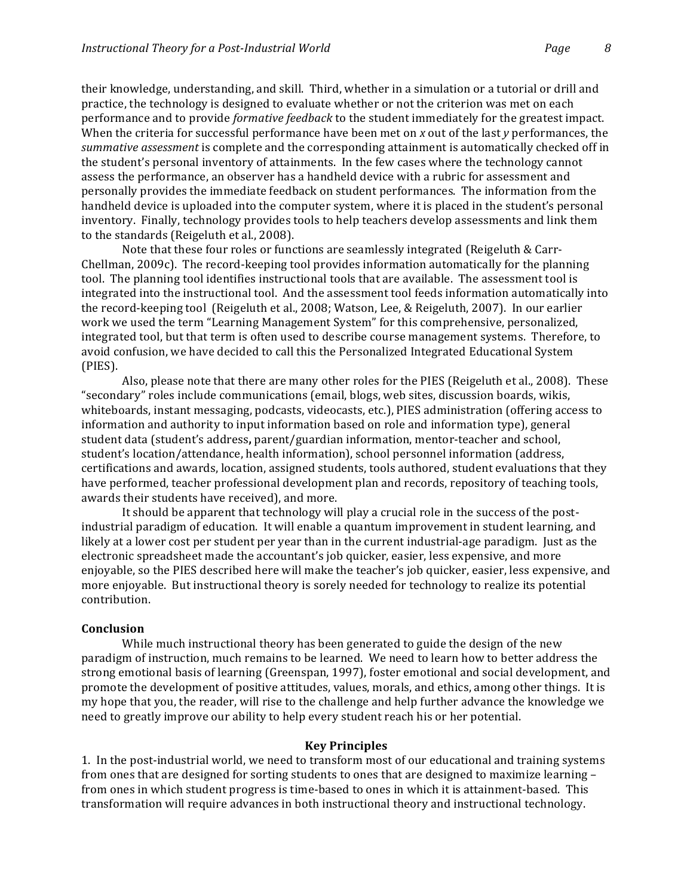their knowledge, understanding, and skill. Third, whether in a simulation or a tutorial or drill and practice, the technology is designed to evaluate whether or not the criterion was met on each performance and to provide *formative feedback* to the student immediately for the greatest impact. When the criteria for successful performance have been met on *x* out of the last *y* performances, the *summative assessment* is complete and the corresponding attainment is automatically checked off in the student's personal inventory of attainments. In the few cases where the technology cannot assess the performance, an observer has a handheld device with a rubric for assessment and personally provides the immediate feedback on student performances. The information from the handheld device is uploaded into the computer system, where it is placed in the student's personal inventory. Finally, technology provides tools to help teachers develop assessments and link them to the standards (Reigeluth et al., 2008).

Note that these four roles or functions are seamlessly integrated (Reigeluth & Carr- $Chellman, 2009c$ . The record-keeping tool provides information automatically for the planning tool. The planning tool identifies instructional tools that are available. The assessment tool is integrated into the instructional tool. And the assessment tool feeds information automatically into the record-keeping tool (Reigeluth et al., 2008; Watson, Lee, & Reigeluth, 2007). In our earlier work we used the term "Learning Management System" for this comprehensive, personalized, integrated tool, but that term is often used to describe course management systems. Therefore, to avoid confusion, we have decided to call this the Personalized Integrated Educational System (PIES).!!

Also, please note that there are many other roles for the PIES (Reigeluth et al., 2008). These "secondary" roles include communications (email, blogs, web sites, discussion boards, wikis, whiteboards, instant messaging, podcasts, videocasts, etc.), PIES administration (offering access to information and authority to input information based on role and information type), general student data (student's address, parent/guardian information, mentor-teacher and school, student's location/attendance, health information), school personnel information (address, certifications and awards, location, assigned students, tools authored, student evaluations that they have performed, teacher professional development plan and records, repository of teaching tools, awards their students have received), and more.

It should be apparent that technology will play a crucial role in the success of the postindustrial paradigm of education. It will enable a quantum improvement in student learning, and likely at a lower cost per student per year than in the current industrial-age paradigm. Just as the electronic spreadsheet made the accountant's job quicker, easier, less expensive, and more enjoyable, so the PIES described here will make the teacher's job quicker, easier, less expensive, and more enjoyable. But instructional theory is sorely needed for technology to realize its potential contribution.

## **Conclusion**

While much instructional theory has been generated to guide the design of the new paradigm of instruction, much remains to be learned. We need to learn how to better address the strong emotional basis of learning (Greenspan, 1997), foster emotional and social development, and promote the development of positive attitudes, values, morals, and ethics, among other things. It is my hope that you, the reader, will rise to the challenge and help further advance the knowledge we need to greatly improve our ability to help every student reach his or her potential.

#### **Key!Principles**

1. In the post-industrial world, we need to transform most of our educational and training systems from ones that are designed for sorting students to ones that are designed to maximize learning – from ones in which student progress is time-based to ones in which it is attainment-based. This transformation will require advances in both instructional theory and instructional technology.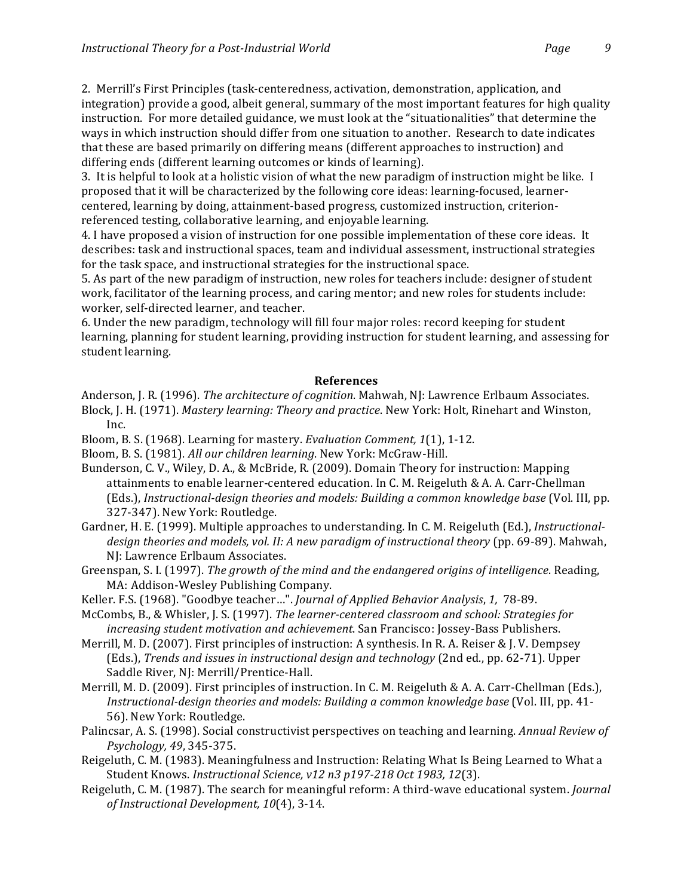2. Merrill's First Principles (task-centeredness, activation, demonstration, application, and integration) provide a good, albeit general, summary of the most important features for high quality instruction. For more detailed guidance, we must look at the "situationalities" that determine the ways in which instruction should differ from one situation to another. Research to date indicates that these are based primarily on differing means (different approaches to instruction) and differing ends (different learning outcomes or kinds of learning).

3. It is helpful to look at a holistic vision of what the new paradigm of instruction might be like. I proposed that it will be characterized by the following core ideas: learning-focused, learnercentered, learning by doing, attainment-based progress, customized instruction, criterionreferenced testing, collaborative learning, and enjoyable learning.

4. I have proposed a vision of instruction for one possible implementation of these core ideas. It describes: task and instructional spaces, team and individual assessment, instructional strategies for the task space, and instructional strategies for the instructional space.

5. As part of the new paradigm of instruction, new roles for teachers include: designer of student work, facilitator of the learning process, and caring mentor; and new roles for students include: worker, self-directed learner, and teacher.

6. Under the new paradigm, technology will fill four major roles: record keeping for student learning, planning for student learning, providing instruction for student learning, and assessing for student learning.

## **References**

Anderson, J. R. (1996). *The architecture of cognition*. Mahwah, NJ: Lawrence Erlbaum Associates. Block, J. H. (1971). *Mastery learning: Theory and practice*. New York: Holt, Rinehart and Winston, Inc.

Bloom, B. S. (1968). Learning for mastery. *Evaluation Comment, 1*(1), 1-12.

- Bloom, B. S. (1981). *All our children learning*. New York: McGraw-Hill.
- Bunderson, C. V., Wiley, D. A., & McBride, R. (2009). Domain Theory for instruction: Mapping attainments to enable learner-centered education. In C. M. Reigeluth & A. A. Carr-Chellman (Eds.), Instructional-design theories and models: Building a common knowledge base (Vol. III, pp. 327-347). New York: Routledge.
- Gardner, H. E. (1999). Multiple approaches to understanding. In C. M. Reigeluth (Ed.), *Instructional*design theories and models, vol. II: A new paradigm of instructional theory (pp. 69-89). Mahwah, NJ: Lawrence Erlbaum Associates.
- Greenspan, S. I. (1997). *The growth of the mind and the endangered origins of intelligence*. Reading, MA: Addison-Wesley Publishing Company.
- Keller. F.S. (1968). "Goodbye teacher...". *Journal of Applied Behavior Analysis*, 1, 78-89.
- McCombs, B., & Whisler, J. S. (1997). *The learner-centered classroom and school: Strategies for increasing student motivation and achievement*. San Francisco: Jossey-Bass Publishers.
- Merrill, M. D. (2007). First principles of instruction: A synthesis. In R. A. Reiser & J. V. Dempsey (Eds.), *Trends and issues in instructional design and technology* (2nd ed., pp. 62-71). Upper Saddle River, NJ: Merrill/Prentice-Hall.
- Merrill, M. D. (2009). First principles of instruction. In C. M. Reigeluth & A. A. Carr-Chellman (Eds.), *Instructional-design theories and models: Building a common knowledge base* (Vol. III, pp. 41-56). New York: Routledge.
- Palincsar, A. S. (1998). Social constructivist perspectives on teaching and learning. *Annual Review of* Psychology, 49, 345-375.
- Reigeluth, C. M. (1983). Meaningfulness and Instruction: Relating What Is Being Learned to What a Student Knows. *Instructional Science, v12 n3 p197-218 Oct 1983, 12*(3).
- Reigeluth, C. M. (1987). The search for meaningful reform: A third-wave educational system. *Journal of Instructional Development, 10*(4), 3-14.